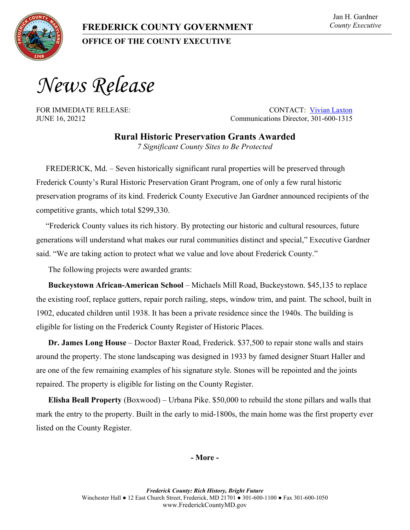**OFFICE OF THE COUNTY EXECUTIVE** 

## Jan H. Gardner *County Executive*

*News Release*

FOR IMMEDIATE RELEASE: CONTACT: [Vivian Laxton](mailto:vlaxton@FrederickCountyMD.gov) JUNE 16, 20212 Communications Director, 301-600-1315

> **Rural Historic Preservation Grants Awarded** *7 Significant County Sites to Be Protected*

FREDERICK, Md. – Seven historically significant rural properties will be preserved through Frederick County's Rural Historic Preservation Grant Program, one of only a few rural historic preservation programs of its kind. Frederick County Executive Jan Gardner announced recipients of the competitive grants, which total \$299,330.

"Frederick County values its rich history. By protecting our historic and cultural resources, future generations will understand what makes our rural communities distinct and special," Executive Gardner said. "We are taking action to protect what we value and love about Frederick County."

The following projects were awarded grants:

**Buckeystown African-American School** – Michaels Mill Road, Buckeystown. \$45,135 to replace the existing roof, replace gutters, repair porch railing, steps, window trim, and paint. The school, built in 1902, educated children until 1938. It has been a private residence since the 1940s. The building is eligible for listing on the Frederick County Register of Historic Places.

**Dr. James Long House** – Doctor Baxter Road, Frederick. \$37,500 to repair stone walls and stairs around the property. The stone landscaping was designed in 1933 by famed designer Stuart Haller and are one of the few remaining examples of his signature style. Stones will be repointed and the joints repaired. The property is eligible for listing on the County Register.

**Elisha Beall Property** (Boxwood) – Urbana Pike. \$50,000 to rebuild the stone pillars and walls that mark the entry to the property. Built in the early to mid-1800s, the main home was the first property ever listed on the County Register.

## **- More -**